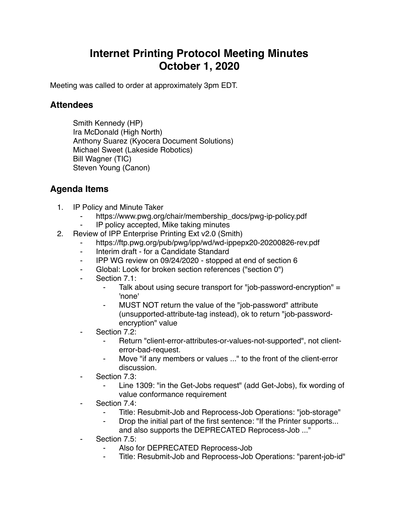## **Internet Printing Protocol Meeting Minutes October 1, 2020**

Meeting was called to order at approximately 3pm EDT.

## **Attendees**

Smith Kennedy (HP) Ira McDonald (High North) Anthony Suarez (Kyocera Document Solutions) Michael Sweet (Lakeside Robotics) Bill Wagner (TIC) Steven Young (Canon)

## **Agenda Items**

- 1. IP Policy and Minute Taker
	- https://www.pwg.org/chair/membership\_docs/pwg-ip-policy.pdf
	- IP policy accepted, Mike taking minutes
- 2. Review of IPP Enterprise Printing Ext v2.0 (Smith)
	- https://ftp.pwg.org/pub/pwg/ipp/wd/wd-ippepx20-20200826-rev.pdf
	- ⁃ Interim draft for a Candidate Standard
	- ⁃ IPP WG review on 09/24/2020 stopped at end of section 6
	- Global: Look for broken section references ("section 0")
	- Section 7.1:
		- Talk about using secure transport for "job-password-encryption"  $=$ 'none'
		- MUST NOT return the value of the "job-password" attribute (unsupported-attribute-tag instead), ok to return "job-passwordencryption" value
	- Section 7.2:
		- ⁃ Return "client-error-attributes-or-values-not-supported", not clienterror-bad-request.
		- ⁃ Move "if any members or values ..." to the front of the client-error discussion.
	- Section 7.3:
		- ⁃ Line 1309: "in the Get-Jobs request" (add Get-Jobs), fix wording of value conformance requirement
	- Section 7.4:
		- Title: Resubmit-Job and Reprocess-Job Operations: "job-storage"
		- ⁃ Drop the initial part of the first sentence: "If the Printer supports... and also supports the DEPRECATED Reprocess-Job ..."
	- Section 7.5:
		- ⁃ Also for DEPRECATED Reprocess-Job
		- Title: Resubmit-Job and Reprocess-Job Operations: "parent-job-id"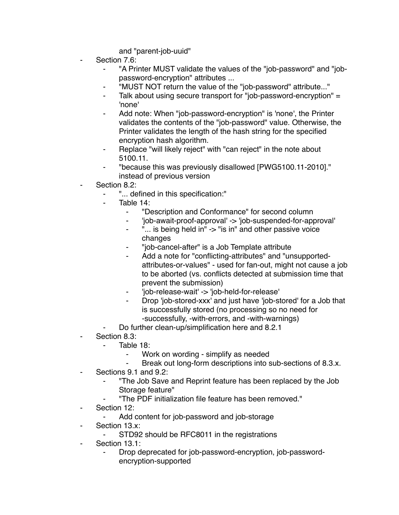and "parent-job-uuid"

- Section 7.6:
	- "A Printer MUST validate the values of the "job-password" and "jobpassword-encryption" attributes ...
	- ⁃ "MUST NOT return the value of the "job-password" attribute..."
	- Talk about using secure transport for "job-password-encryption"  $=$ 'none'
	- Add note: When "job-password-encryption" is 'none', the Printer validates the contents of the "job-password" value. Otherwise, the Printer validates the length of the hash string for the specified encryption hash algorithm.
	- Replace "will likely reject" with "can reject" in the note about 5100.11.
	- ⁃ "because this was previously disallowed [PWG5100.11-2010]." instead of previous version
- Section 8.2:
	- ⁃ "... defined in this specification:"
	- Table 14:
		- ⁃ "Description and Conformance" for second column
		- ⁃ 'job-await-proof-approval' -> 'job-suspended-for-approval'
		- "... is being held in" -> "is in" and other passive voice changes
		- ⁃ "job-cancel-after" is a Job Template attribute
		- Add a note for "conflicting-attributes" and "unsupportedattributes-or-values" - used for fan-out, might not cause a job to be aborted (vs. conflicts detected at submission time that prevent the submission)
		- ⁃ 'job-release-wait' -> 'job-held-for-release'
		- Drop 'job-stored-xxx' and just have 'job-stored' for a Job that is successfully stored (no processing so no need for -successfully, -with-errors, and -with-warnings)
	- Do further clean-up/simplification here and 8.2.1
- Section 8.3:
	- Table  $18<sup>°</sup>$ 
		- ⁃ Work on wording simplify as needed
		- Break out long-form descriptions into sub-sections of 8.3.x.
- Sections 9.1 and 9.2:
	- ⁃ "The Job Save and Reprint feature has been replaced by the Job Storage feature"
	- ⁃ "The PDF initialization file feature has been removed."
- Section 12:
	- ⁃ Add content for job-password and job-storage
- Section 13.x:
	- ⁃ STD92 should be RFC8011 in the registrations
- ⁃ Section 13.1:
	- Drop deprecated for job-password-encryption, job-passwordencryption-supported